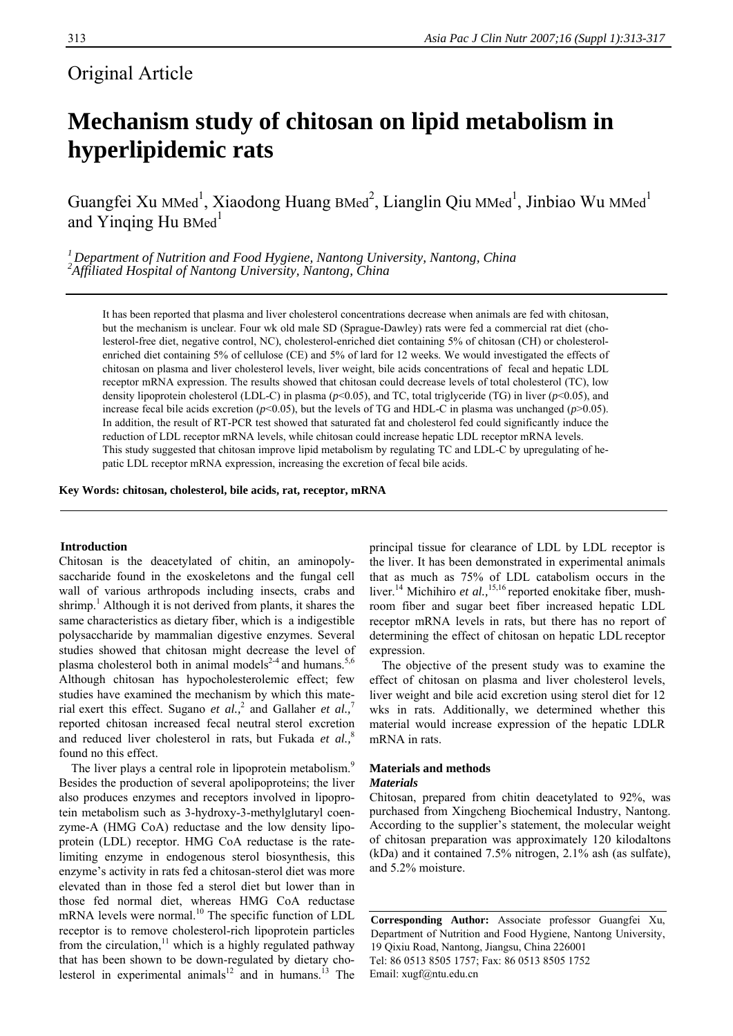# Original Article

# **Mechanism study of chitosan on lipid metabolism in hyperlipidemic rats**

Guangfei Xu MMed<sup>1</sup>, Xiaodong Huang BMed<sup>2</sup>, Lianglin Qiu MMed<sup>1</sup>, Jinbiao Wu MMed<sup>1</sup> and Yinging Hu  $B$ Med<sup>1</sup>

*<sup>1</sup> Department of Nutrition and Food Hygiene, Nantong University, Nantong, China <sup>2</sup> Affiliated Hospital of Nantong University, Nantong, China* 

It has been reported that plasma and liver cholesterol concentrations decrease when animals are fed with chitosan, but the mechanism is unclear. Four wk old male SD (Sprague-Dawley) rats were fed a commercial rat diet (cholesterol-free diet, negative control, NC), cholesterol-enriched diet containing 5% of chitosan (CH) or cholesterolenriched diet containing 5% of cellulose (CE) and 5% of lard for 12 weeks. We would investigated the effects of chitosan on plasma and liver cholesterol levels, liver weight, bile acids concentrations of fecal and hepatic LDL receptor mRNA expression. The results showed that chitosan could decrease levels of total cholesterol (TC), low density lipoprotein cholesterol (LDL-C) in plasma (*p*<0.05), and TC, total triglyceride (TG) in liver (*p*<0.05), and increase fecal bile acids excretion ( $p$ <0.05), but the levels of TG and HDL-C in plasma was unchanged ( $p$ >0.05). In addition, the result of RT-PCR test showed that saturated fat and cholesterol fed could significantly induce the reduction of LDL receptor mRNA levels, while chitosan could increase hepatic LDL receptor mRNA levels. This study suggested that chitosan improve lipid metabolism by regulating TC and LDL-C by upregulating of hepatic LDL receptor mRNA expression, increasing the excretion of fecal bile acids.

**Key Words: chitosan, cholesterol, bile acids, rat, receptor, mRNA** 

## **Introduction**

Chitosan is the deacetylated of chitin, an aminopolysaccharide found in the exoskeletons and the fungal cell wall of various arthropods including insects, crabs and shrimp.<sup>1</sup> Although it is not derived from plants, it shares the same characteristics as dietary fiber, which is a indigestible polysaccharide by mammalian digestive enzymes. Several studies showed that chitosan might decrease the level of plasma cholesterol both in animal models<sup>2-4</sup> and humans.<sup>5,6</sup> Although chitosan has hypocholesterolemic effect; few studies have examined the mechanism by which this material exert this effect. Sugano *et al.*,<sup>2</sup> and Gallaher *et al.*,<sup>7</sup> reported chitosan increased fecal neutral sterol excretion and reduced liver cholesterol in rats, but Fukada *et al.*,<sup>8</sup> found no this effect.

The liver plays a central role in lipoprotein metabolism.<sup>9</sup> Besides the production of several apolipoproteins; the liver also produces enzymes and receptors involved in lipoprotein metabolism such as 3-hydroxy-3-methylglutaryl coenzyme-A (HMG CoA) reductase and the low density lipoprotein (LDL) receptor. HMG CoA reductase is the ratelimiting enzyme in endogenous sterol biosynthesis, this enzyme's activity in rats fed a chitosan-sterol diet was more elevated than in those fed a sterol diet but lower than in those fed normal diet, whereas HMG CoA reductase mRNA levels were normal.<sup>10</sup> The specific function of LDL receptor is to remove cholesterol-rich lipoprotein particles from the circulation, $11$  which is a highly regulated pathway that has been shown to be down-regulated by dietary cholesterol in experimental animals<sup>12</sup> and in humans.<sup>13</sup> The

principal tissue for clearance of LDL by LDL receptor is the liver. It has been demonstrated in experimental animals that as much as 75% of LDL catabolism occurs in the liver.<sup>14</sup> Michihiro et al.,<sup>15,16</sup> reported enokitake fiber, mushroom fiber and sugar beet fiber increased hepatic LDL receptor mRNA levels in rats, but there has no report of determining the effect of chitosan on hepatic LDL receptor expression.

The objective of the present study was to examine the effect of chitosan on plasma and liver cholesterol levels, liver weight and bile acid excretion using sterol diet for 12 wks in rats. Additionally, we determined whether this material would increase expression of the hepatic LDLR mRNA in rats.

# **Materials and methods**

# *Materials*

Chitosan, prepared from chitin deacetylated to 92%, was purchased from Xingcheng Biochemical Industry, Nantong. According to the supplier's statement, the molecular weight of chitosan preparation was approximately 120 kilodaltons (kDa) and it contained 7.5% nitrogen, 2.1% ash (as sulfate), and 5.2% moisture.

**Corresponding Author:** Associate professor Guangfei Xu, Department of Nutrition and Food Hygiene, Nantong University, 19 Qixiu Road, Nantong, Jiangsu, China 226001 Tel: 86 0513 8505 1757; Fax: 86 0513 8505 1752 Email: xugf@ntu.edu.cn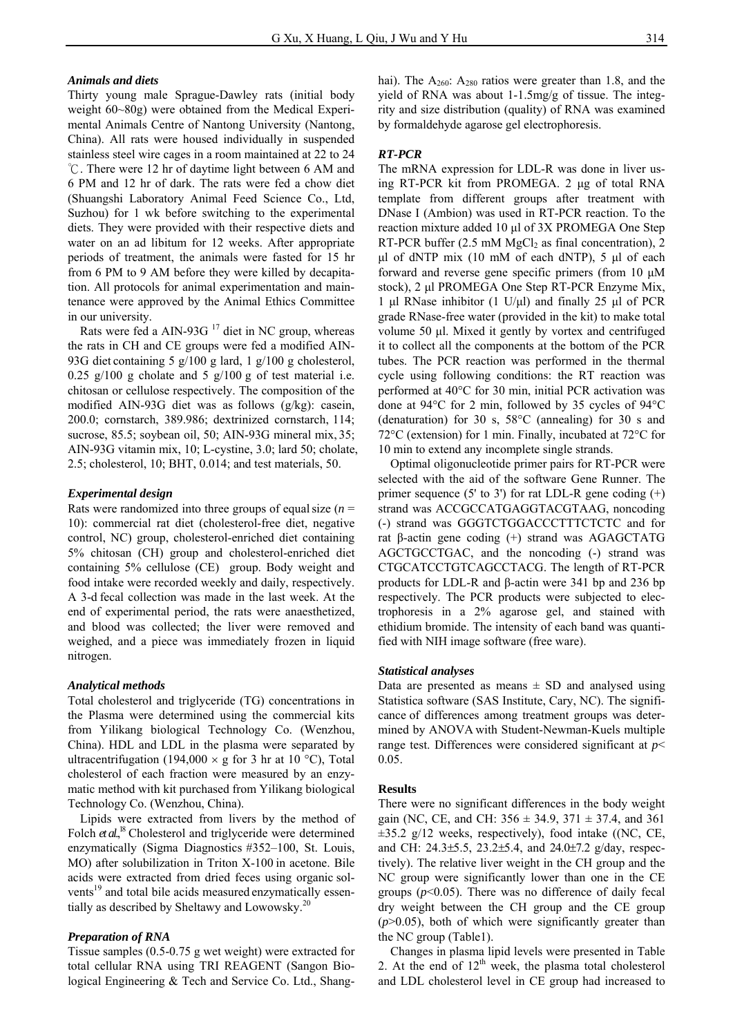# *Animals and diets*

Thirty young male Sprague-Dawley rats (initial body weight 60~80g) were obtained from the Medical Experimental Animals Centre of Nantong University (Nantong, China). All rats were housed individually in suspended stainless steel wire cages in a room maintained at 22 to 24 ℃. There were 12 hr of daytime light between 6 AM and 6 PM and 12 hr of dark. The rats were fed a chow diet (Shuangshi Laboratory Animal Feed Science Co., Ltd, Suzhou) for 1 wk before switching to the experimental diets. They were provided with their respective diets and water on an ad libitum for 12 weeks. After appropriate periods of treatment, the animals were fasted for 15 hr from 6 PM to 9 AM before they were killed by decapitation. All protocols for animal experimentation and maintenance were approved by the Animal Ethics Committee in our university.

Rats were fed a AIN-93G  $^{17}$  diet in NC group, whereas the rats in CH and CE groups were fed a modified AIN-93G diet containing 5 g/100 g lard, 1 g/100 g cholesterol, 0.25  $g/100$  g cholate and 5  $g/100$  g of test material i.e. chitosan or cellulose respectively. The composition of the modified AIN-93G diet was as follows (g/kg): casein, 200.0; cornstarch, 389.986; dextrinized cornstarch, 114; sucrose, 85.5; soybean oil, 50; AIN-93G mineral mix, 35; AIN-93G vitamin mix, 10; L-cystine, 3.0; lard 50; cholate, 2.5; cholesterol, 10; BHT, 0.014; and test materials, 50.

#### *Experimental design*

Rats were randomized into three groups of equalsize (*n* = 10): commercial rat diet (cholesterol-free diet, negative control, NC) group, cholesterol-enriched diet containing 5% chitosan (CH) group and cholesterol-enriched diet containing 5% cellulose (CE) group. Body weight and food intake were recorded weekly and daily, respectively. A 3-d fecal collection was made in the last week. At the end of experimental period, the rats were anaesthetized, and blood was collected; the liver were removed and weighed, and a piece was immediately frozen in liquid nitrogen.

#### *Analytical methods*

Total cholesterol and triglyceride (TG) concentrations in the Plasma were determined using the commercial kits from Yilikang biological Technology Co. (Wenzhou, China). HDL and LDL in the plasma were separated by ultracentrifugation (194,000  $\times$  g for 3 hr at 10 °C), Total cholesterol of each fraction were measured by an enzymatic method with kit purchased from Yilikang biological Technology Co. (Wenzhou, China).

Lipids were extracted from livers by the method of Folch *et al.*,<sup>18</sup> Cholesterol and triglyceride were determined enzymatically (Sigma Diagnostics #352–100, St. Louis, MO) after solubilization in Triton X-100 in acetone. Bile acids were extracted from dried feces using organic solvents<sup>19</sup> and total bile acids measured enzymatically essentially as described by Sheltawy and Lowowsky. $20$ 

## *Preparation of RNA*

Tissue samples (0.5-0.75 g wet weight) were extracted for total cellular RNA using TRI REAGENT (Sangon Biological Engineering & Tech and Service Co. Ltd., Shanghai). The  $A_{260}$ :  $A_{280}$  ratios were greater than 1.8, and the yield of RNA was about 1-1.5mg/g of tissue. The integrity and size distribution (quality) of RNA was examined by formaldehyde agarose gel electrophoresis.

# *RT-PCR*

The mRNA expression for LDL-R was done in liver using RT-PCR kit from PROMEGA. 2 μg of total RNA template from different groups after treatment with DNase I (Ambion) was used in RT-PCR reaction. To the reaction mixture added 10 μl of 3X PROMEGA One Step RT-PCR buffer  $(2.5 \text{ mM } MgCl<sub>2</sub>$  as final concentration), 2 μl of dNTP mix (10 mM of each dNTP), 5 μl of each forward and reverse gene specific primers (from 10 μM stock), 2 μl PROMEGA One Step RT-PCR Enzyme Mix, 1 μl RNase inhibitor (1 U/μl) and finally 25 μl of PCR grade RNase-free water (provided in the kit) to make total volume 50 μl. Mixed it gently by vortex and centrifuged it to collect all the components at the bottom of the PCR tubes. The PCR reaction was performed in the thermal cycle using following conditions: the RT reaction was performed at 40°C for 30 min, initial PCR activation was done at 94°C for 2 min, followed by 35 cycles of 94°C (denaturation) for 30 s, 58°C (annealing) for 30 s and 72°C (extension) for 1 min. Finally, incubated at 72°C for 10 min to extend any incomplete single strands.

Optimal oligonucleotide primer pairs for RT-PCR were selected with the aid of the software Gene Runner. The primer sequence (5' to 3') for rat LDL-R gene coding  $(+)$ strand was ACCGCCATGAGGTACGTAAG, noncoding (-) strand was GGGTCTGGACCCTTTCTCTC and for rat β-actin gene coding (+) strand was AGAGCTATG AGCTGCCTGAC, and the noncoding (-) strand was CTGCATCCTGTCAGCCTACG. The length of RT-PCR products for LDL-R and β-actin were 341 bp and 236 bp respectively. The PCR products were subjected to electrophoresis in a 2% agarose gel, and stained with ethidium bromide. The intensity of each band was quantified with NIH image software (free ware).

#### *Statistical analyses*

Data are presented as means  $\pm$  SD and analysed using Statistica software (SAS Institute, Cary, NC). The significance of differences among treatment groups was determined by ANOVA with Student-Newman-Kuels multiple range test. Differences were considered significant at *p*< 0.05.

#### **Results**

There were no significant differences in the body weight gain (NC, CE, and CH:  $356 \pm 34.9$ ,  $371 \pm 37.4$ , and  $361$  $\pm$ 35.2 g/12 weeks, respectively), food intake ((NC, CE, and CH: 24.3±5.5, 23.2±5.4, and 24.0±7.2 g/day, respectively). The relative liver weight in the CH group and the NC group were significantly lower than one in the CE groups  $(p<0.05)$ . There was no difference of daily fecal dry weight between the CH group and the CE group  $(p>0.05)$ , both of which were significantly greater than the NC group (Table1).

Changes in plasma lipid levels were presented in Table 2. At the end of  $12<sup>th</sup>$  week, the plasma total cholesterol and LDL cholesterol level in CE group had increased to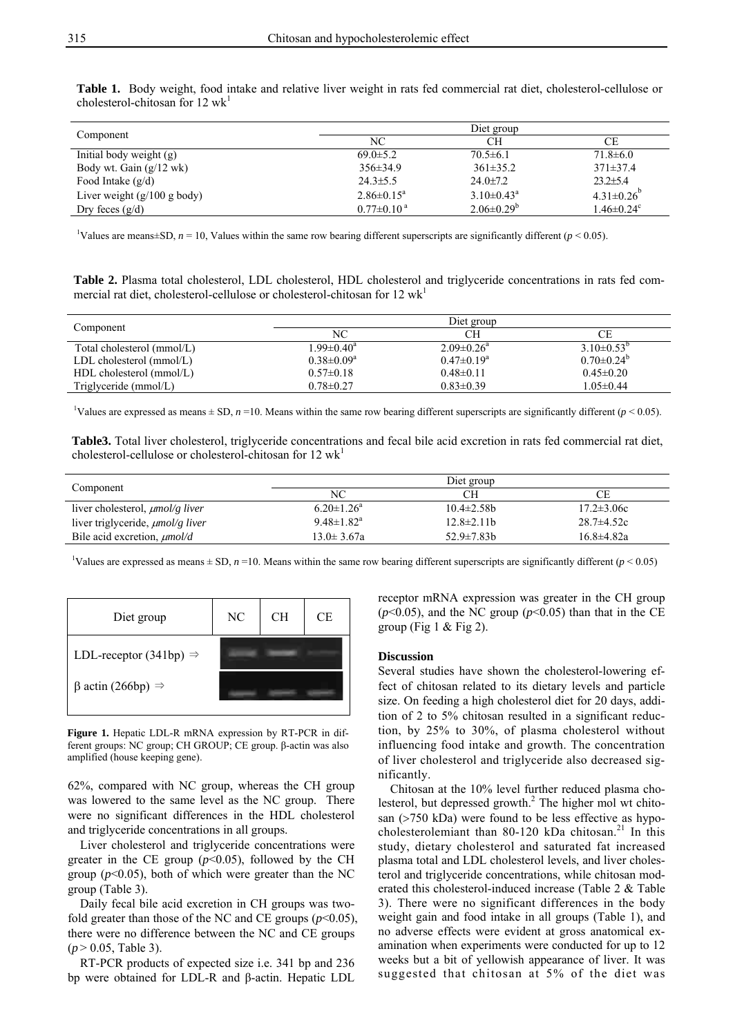|                                   | Diet group                  |                       |                              |  |
|-----------------------------------|-----------------------------|-----------------------|------------------------------|--|
| Component                         | NC                          |                       | CЕ                           |  |
| Initial body weight $(g)$         | $69.0 \pm 5.2$              | $70.5 \pm 6.1$        | $71.8 \pm 6.0$               |  |
| Body wt. Gain $(g/12 \text{ wk})$ | $356 \pm 34.9$              | $361\pm35.2$          | $371\pm37.4$                 |  |
| Food Intake $(g/d)$               | $24.3 \pm 5.5$              | $24.0 \pm 7.2$        | $23.2 \pm 5.4$               |  |
| Liver weight $(g/100 g)$ body)    | $2.86 \pm 0.15^a$           | $3.10\pm0.43^{\circ}$ | $4.31\pm0.26$                |  |
| Dry feces $(g/d)$                 | $0.77 \pm 0.10^{\text{ a}}$ | $2.06 \pm 0.29^b$     | $1.46 \pm 0.24$ <sup>c</sup> |  |

**Table 1.** Body weight, food intake and relative liver weight in rats fed commercial rat diet, cholesterol-cellulose or cholesterol-chitosan for 12  $wk<sup>1</sup>$ 

<sup>1</sup>Values are means±SD,  $n = 10$ , Values within the same row bearing different superscripts are significantly different ( $p < 0.05$ ).

**Table 2.** Plasma total cholesterol, LDL cholesterol, HDL cholesterol and triglyceride concentrations in rats fed commercial rat diet, cholesterol-cellulose or cholesterol-chitosan for  $12 \text{ wk}^1$ 

| Component                      |                   | Diet group        |                   |  |
|--------------------------------|-------------------|-------------------|-------------------|--|
|                                | NС                | CН                | СE                |  |
| Total cholesterol (mmol/L)     | $1.99 \pm 0.40^a$ | $2.09 \pm 0.26^a$ | $3.10\pm0.53^{b}$ |  |
| $LDL$ cholesterol (mmol/ $L$ ) | $0.38 \pm 0.09^a$ | $0.47 \pm 0.19^a$ | $0.70 \pm 0.24^b$ |  |
| $HDL$ cholesterol (mmol/L)     | $0.57 \pm 0.18$   | $0.48\pm0.11$     | $0.45 \pm 0.20$   |  |
| Triglyceride $(mmol/L)$        | $0.78 \pm 0.27$   | $0.83 \pm 0.39$   | $1.05 \pm 0.44$   |  |

<sup>1</sup>Values are expressed as means  $\pm$  SD, *n* =10. Means within the same row bearing different superscripts are significantly different (*p* < 0.05).

**Table3.** Total liver cholesterol, triglyceride concentrations and fecal bile acid excretion in rats fed commercial rat diet, cholesterol-cellulose or cholesterol-chitosan for  $12 \text{ wk}^1$ 

| Component                               | Diet group                   |                   |                  |  |
|-----------------------------------------|------------------------------|-------------------|------------------|--|
|                                         | NC                           | CН                |                  |  |
| liver cholesterol, $\mu$ mol/g liver    | $6.20 \pm 1.26^a$            | $10.4 \pm 2.58 b$ | $17.2 \pm 3.06c$ |  |
| liver triglyceride, <i>µmol/g liver</i> | $9.48 \pm 1.82$ <sup>a</sup> | $12.8 \pm 2.11 b$ | $28.7 \pm 4.52c$ |  |
| Bile acid excretion, $\mu$ mol/d        | 13.0± 3.67a                  | $52.9 \pm 7.83 b$ | $16.8 \pm 4.82a$ |  |

<sup>1</sup>Values are expressed as means  $\pm$  SD, *n* =10. Means within the same row bearing different superscripts are significantly different (*p* < 0.05)

| Diet group                          | NC | <b>CH</b> | СE |
|-------------------------------------|----|-----------|----|
| LDL-receptor (341bp) $\Rightarrow$  |    |           |    |
| $\beta$ actin (266bp) $\Rightarrow$ |    |           |    |

**Figure 1.** Hepatic LDL-R mRNA expression by RT-PCR in different groups: NC group; CH GROUP; CE group. β-actin was also amplified (house keeping gene).

62%, compared with NC group, whereas the CH group was lowered to the same level as the NC group. There were no significant differences in the HDL cholesterol and triglyceride concentrations in all groups.

Liver cholesterol and triglyceride concentrations were greater in the CE group  $(p<0.05)$ , followed by the CH group  $(p<0.05)$ , both of which were greater than the NC group (Table 3).

Daily fecal bile acid excretion in CH groups was twofold greater than those of the NC and CE groups  $(p<0.05)$ , there were no difference between the NC and CE groups (*p* > 0.05, Table 3).

RT-PCR products of expected size i.e. 341 bp and 236 bp were obtained for LDL-R and β-actin. Hepatic LDL receptor mRNA expression was greater in the CH group  $(p<0.05)$ , and the NC group  $(p<0.05)$  than that in the CE group (Fig  $1 <$  Fig  $2$ ).

## **Discussion**

Several studies have shown the cholesterol-lowering effect of chitosan related to its dietary levels and particle size. On feeding a high cholesterol diet for 20 days, addition of 2 to 5% chitosan resulted in a significant reduction, by 25% to 30%, of plasma cholesterol without influencing food intake and growth. The concentration of liver cholesterol and triglyceride also decreased significantly.

Chitosan at the 10% level further reduced plasma cholesterol, but depressed growth.<sup>2</sup> The higher mol wt chitosan (>750 kDa) were found to be less effective as hypocholesterolemiant than 80-120 kDa chitosan.<sup>21</sup> In this study, dietary cholesterol and saturated fat increased plasma total and LDL cholesterol levels, and liver cholesterol and triglyceride concentrations, while chitosan moderated this cholesterol-induced increase (Table 2 & Table 3). There were no significant differences in the body weight gain and food intake in all groups (Table 1), and no adverse effects were evident at gross anatomical examination when experiments were conducted for up to 12 weeks but a bit of yellowish appearance of liver. It was suggested that chitosan at 5% of the diet was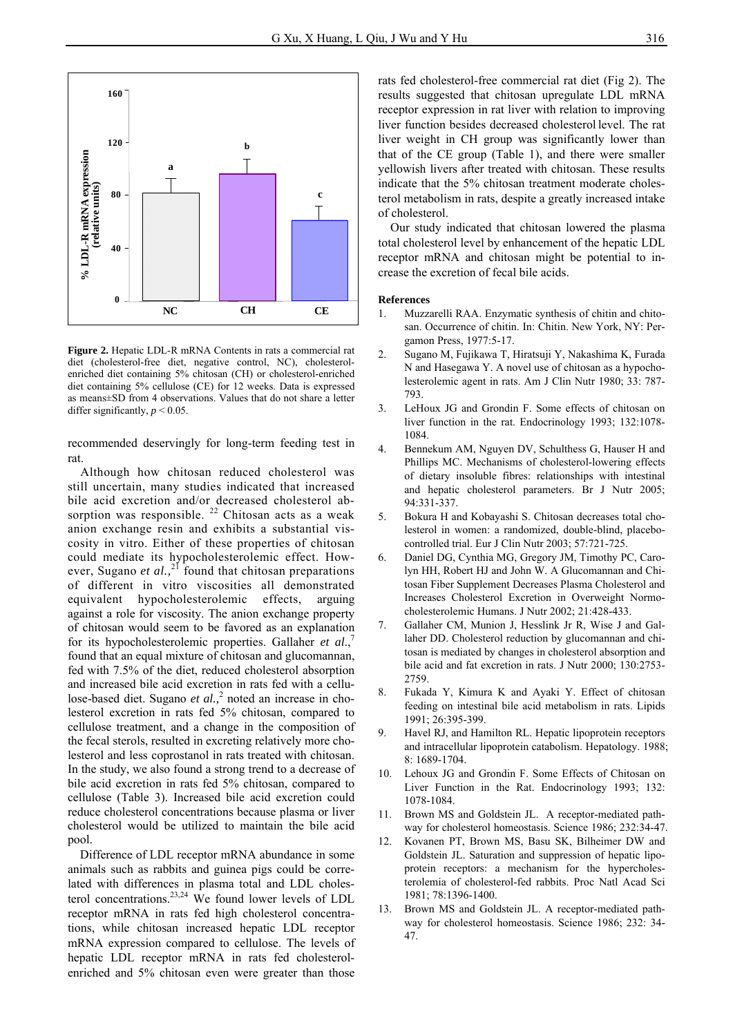

**Figure 2.** Hepatic LDL-R mRNA Contents in rats a commercial rat diet (cholesterol-free diet, negative control, NC), cholesterolenriched diet containing 5% chitosan (CH) or cholesterol-enriched diet containing 5% cellulose (CE) for 12 weeks. Data is expressed as means±SD from 4 observations. Values that do not share a letter differ significantly,  $p < 0.05$ .

recommended deservingly for long-term feeding test in rat.

Although how chitosan reduced cholesterol was still uncertain, many studies indicated that increased bile acid excretion and/or decreased cholesterol absorption was responsible.  $22$  Chitosan acts as a weak anion exchange resin and exhibits a substantial viscosity in vitro. Either of these properties of chitosan could mediate its hypocholesterolemic effect. However, Sugano *et al.*,<sup>21</sup> found that chitosan preparations of different in vitro viscosities all demonstrated equivalent hypocholesterolemic effects, arguing against a role for viscosity. The anion exchange property of chitosan would seem to be favored as an explanation for its hypocholesterolemic properties. Gallaher *et al.*, found that an equal mixture of chitosan and glucomannan, fed with 7.5% of the diet, reduced cholesterol absorption and increased bile acid excretion in rats fed with a cellulose-based diet. Sugano *et al.*,<sup>2</sup> noted an increase in cholesterol excretion in rats fed 5% chitosan, compared to cellulose treatment, and a change in the composition of the fecal sterols, resulted in excreting relatively more cholesterol and less coprostanol in rats treated with chitosan. In the study, we also found a strong trend to a decrease of bile acid excretion in rats fed 5% chitosan, compared to cellulose (Table 3). Increased bile acid excretion could reduce cholesterol concentrations because plasma or liver cholesterol would be utilized to maintain the bile acid pool.

Difference of LDL receptor mRNA abundance in some animals such as rabbits and guinea pigs could be correlated with differences in plasma total and LDL cholesterol concentrations.23,24 We found lower levels of LDL receptor mRNA in rats fed high cholesterol concentrations, while chitosan increased hepatic LDL receptor mRNA expression compared to cellulose. The levels of hepatic LDL receptor mRNA in rats fed cholesterolenriched and 5% chitosan even were greater than those

rats fed cholesterol-free commercial rat diet (Fig 2). The results suggested that chitosan upregulate LDL mRNA receptor expression in rat liver with relation to improving liver function besides decreased cholesterol level. The rat liver weight in CH group was significantly lower than that of the CE group (Table 1), and there were smaller yellowish livers after treated with chitosan. These results indicate that the 5% chitosan treatment moderate cholesterol metabolism in rats, despite a greatly increased intake of cholesterol.

Our study indicated that chitosan lowered the plasma total cholesterol level by enhancement of the hepatic LDL receptor mRNA and chitosan might be potential to increase the excretion of fecal bile acids.

#### **References**

- 1. Muzzarelli RAA. Enzymatic synthesis of chitin and chitosan. Occurrence of chitin. In: Chitin. New York, NY: Pergamon Press, 1977:5-17.
- 2. Sugano M, Fujikawa T, Hiratsuji Y, Nakashima K, Furada N and Hasegawa Y. A novel use of chitosan as a hypocholesterolemic agent in rats. Am J Clin Nutr 1980; 33: 787- 793.
- 3. LeHoux JG and Grondin F. Some effects of chitosan on liver function in the rat. Endocrinology 1993; 132:1078- 1084.
- 4. Bennekum AM, Nguyen DV, Schulthess G, Hauser H and Phillips MC. Mechanisms of cholesterol-lowering effects of dietary insoluble fibres: relationships with intestinal and hepatic cholesterol parameters. Br J Nutr 2005; 94:331-337.
- 5. Bokura H and Kobayashi S. Chitosan decreases total cholesterol in women: a randomized, double-blind, placebocontrolled trial. Eur J Clin Nutr 2003; 57:721-725.
- 6. Daniel DG, Cynthia MG, Gregory JM, Timothy PC, Carolyn HH, Robert HJ and John W. A Glucomannan and Chitosan Fiber Supplement Decreases Plasma Cholesterol and Increases Cholesterol Excretion in Overweight Normocholesterolemic Humans. J Nutr 2002; 21:428-433.
- 7. Gallaher CM, Munion J, Hesslink Jr R, Wise J and Gallaher DD. Cholesterol reduction by glucomannan and chitosan is mediated by changes in cholesterol absorption and bile acid and fat excretion in rats. J Nutr 2000; 130:2753- 2759.
- 8. Fukada Y, Kimura K and Ayaki Y. Effect of chitosan feeding on intestinal bile acid metabolism in rats. Lipids 1991; 26:395-399.
- 9. Havel RJ, and Hamilton RL. Hepatic lipoprotein receptors and intracellular lipoprotein catabolism. Hepatology. 1988; 8: 1689-1704.
- 10. Lehoux JG and Grondin F. Some Effects of Chitosan on Liver Function in the Rat. Endocrinology 1993; 132: 1078-1084.
- 11. Brown MS and Goldstein JL. A receptor-mediated pathway for cholesterol homeostasis. Science 1986; 232:34-47.
- 12. Kovanen PT, Brown MS, Basu SK, Bilheimer DW and Goldstein JL. Saturation and suppression of hepatic lipoprotein receptors: a mechanism for the hypercholesterolemia of cholesterol-fed rabbits. Proc Natl Acad Sci 1981; 78:1396-1400.
- 13. Brown MS and Goldstein JL. A receptor-mediated pathway for cholesterol homeostasis. Science 1986; 232: 34- 47.